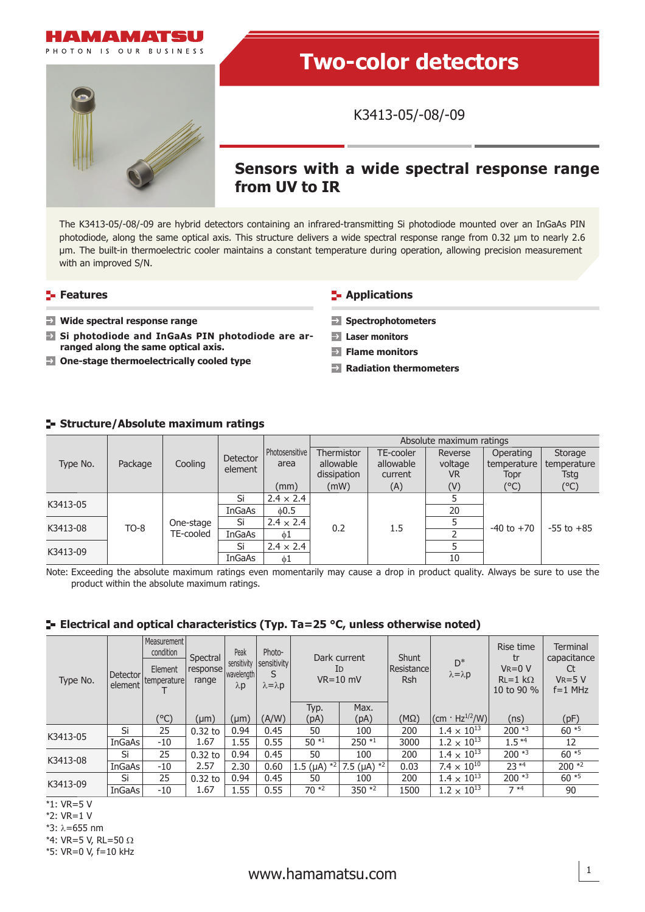

# **Two-color detectors**

K3413-05/-08/-09

# **Sensors with a wide spectral response range from UV to IR**

The K3413-05/-08/-09 are hybrid detectors containing an infrared-transmitting Si photodiode mounted over an InGaAs PIN photodiode, along the same optical axis. This structure delivers a wide spectral response range from 0.32 μm to nearly 2.6 μm. The built-in thermoelectric cooler maintains a constant temperature during operation, allowing precision measurement with an improved S/N.

#### **Features**

- **Wide spectral response range**
- **Si photodiode and InGaAs PIN photodiode are arranged along the same optical axis.**
- **One-stage thermoelectrically cooled type**

### **E-** Applications

- **Spectrophotometers**
- **Laser monitors**
- **Flame monitors**
- **Radiation thermometers**

### **Structure/Absolute maximum ratings**

| Type No. | Package | Cooling                | Detector<br>element |                        | Absolute maximum ratings |                        |                    |                          |                        |  |
|----------|---------|------------------------|---------------------|------------------------|--------------------------|------------------------|--------------------|--------------------------|------------------------|--|
|          |         |                        |                     | Photosensitive<br>area | Thermistor<br>allowable  | TE-cooler<br>allowable | Reverse<br>voltage | Operating<br>temperature | Storage<br>temperature |  |
|          |         |                        |                     |                        | dissipation              | current                | VR.                | Topr                     | Tstg                   |  |
|          |         |                        |                     | (mm)                   | (mW)                     | (A)                    | (V)                | (°C)                     | $(^{\circ}C)$          |  |
| K3413-05 | $TO-8$  | One-stage<br>TE-cooled | Si                  | $2.4 \times 2.4$       |                          | 1.5                    |                    | $-40$ to $+70$           | $-55$ to $+85$         |  |
|          |         |                        | InGaAs              | 0.5                    | 0.2                      |                        | 20                 |                          |                        |  |
| K3413-08 |         |                        | Si                  | $2.4 \times 2.4$       |                          |                        |                    |                          |                        |  |
|          |         |                        | InGaAs              | 61                     |                          |                        |                    |                          |                        |  |
| K3413-09 |         |                        | Si                  | $2.4 \times 2.4$       |                          |                        |                    |                          |                        |  |
|          |         |                        | InGaAs              | $\phi$ 1               |                          |                        | 10                 |                          |                        |  |

Note: Exceeding the absolute maximum ratings even momentarily may cause a drop in product quality. Always be sure to use the product within the absolute maximum ratings.

### **Electrical and optical characteristics (Typ. Ta=25 °C, unless otherwise noted)**

| Type No. | Detector<br>element | Measurement<br>condition<br>Element<br>temperature | Peak<br>Spectral<br>sensitivity<br>response<br>wavelength  <br>range<br>$\lambda$ p |           | Photo-<br>sensitivity<br>S<br>$\lambda = \lambda p$ | Dark current<br>ID<br>$VR=10$ mV |                                 | Shunt<br>Resistance<br>Rsh | $D^*$<br>$\lambda = \lambda p$                 | Rise time<br>tr<br>$V_R = 0 V$<br>$RL=1$ kΩ<br>10 to 90 % | Terminal<br>capacitance<br>Ct<br>$V_R = 5 V$<br>$f=1$ MHz |
|----------|---------------------|----------------------------------------------------|-------------------------------------------------------------------------------------|-----------|-----------------------------------------------------|----------------------------------|---------------------------------|----------------------------|------------------------------------------------|-----------------------------------------------------------|-----------------------------------------------------------|
|          |                     |                                                    |                                                                                     |           |                                                     | Typ.                             | Max.                            |                            |                                                |                                                           |                                                           |
|          |                     | (°C)                                               | $(\mu m)$                                                                           | $(\mu m)$ | (A/W)                                               | (pA)                             | (pA)                            | $(M\Omega)$                | $ (\text{cm} \cdot \text{Hz}^{1/2}/\text{W}) $ | (ns)                                                      | (pF)                                                      |
| K3413-05 | Si                  | 25                                                 | $0.32$ to                                                                           | 0.94      | 0.45                                                | 50                               | 100                             | 200                        | $1.4 \times 10^{13}$                           | $200*3$                                                   | $60*5$                                                    |
|          | InGaAs              | $-10$                                              | 1.67                                                                                | 1.55      | 0.55                                                | $50*1$                           | $250 *1$                        | 3000                       | $1.2 \times 10^{13}$                           | $1.5*4$                                                   | 12                                                        |
| K3413-08 | Si                  | 25                                                 | $0.32$ to                                                                           | 0.94      | 0.45                                                | 50                               | 100                             | 200                        | $1.4 \times 10^{13}$                           | $200*3$                                                   | $60*5$                                                    |
|          | InGaAs              | $-10$                                              | 2.57                                                                                | 2.30      | 0.60                                                | 1.5 ( $\mu$ A) $*^2$             | 7.5 ( $\mu$ A) $*$ <sup>2</sup> | 0.03                       | $7.4 \times 10^{10}$                           | $23*4$                                                    | $200 *2$                                                  |
| K3413-09 | Si                  | 25                                                 | $0.32$ to                                                                           | 0.94      | 0.45                                                | 50                               | 100                             | 200                        | $1.4 \times 10^{13}$                           | $200*3$                                                   | $60*5$                                                    |
|          | InGaAs              | $-10$                                              | 1.67                                                                                | 1.55      | 0.55                                                | $70*2$                           | 350 $*2$                        | 1500                       | $1.2 \times 10^{13}$                           | $7 *4$                                                    | 90                                                        |

\*1: VR=5 V

\*2: VR=1 V

\*3: λ=655 nm

\*4: VR=5 V, RL=50  $\Omega$ 

\*5: VR=0 V, f=10 kHz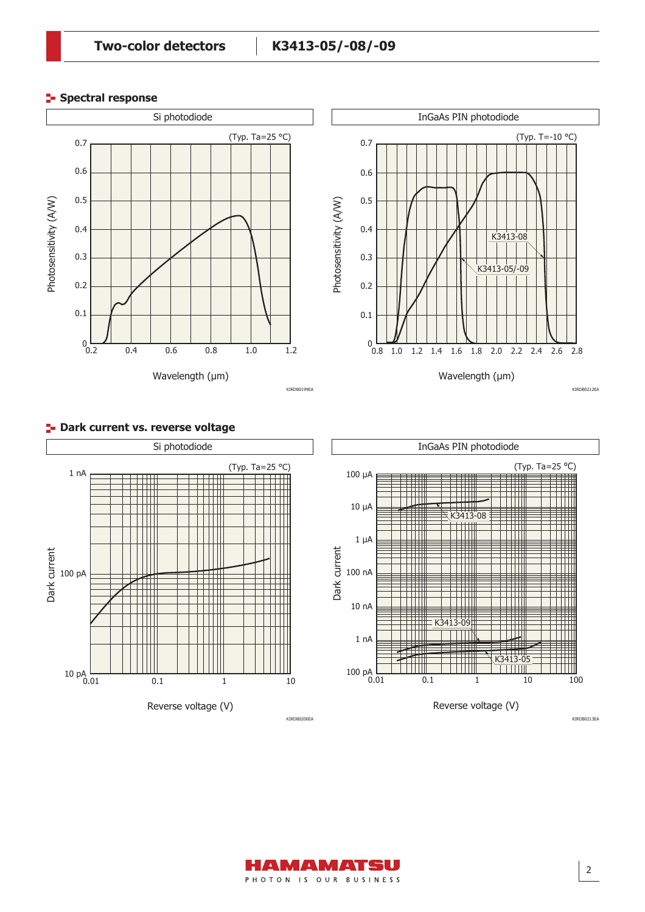KIRDB0199EA

## **Spectral response**



Wavelength (µm) ــا 0<br>0.8 1.0 1.2 1.4 1.6 1.8 2.0 2.2 2.4 2.6 2.8 0.2 0.1 0.7 0.6 0.5 0.4 0.3 (Typ. T=-10 °C) K3413-08 K3413-05/-09 InGaAs PIN photodiode

KIRDB0212EA



#### **P** Dark current vs. reverse voltage



KIRDB0213EA

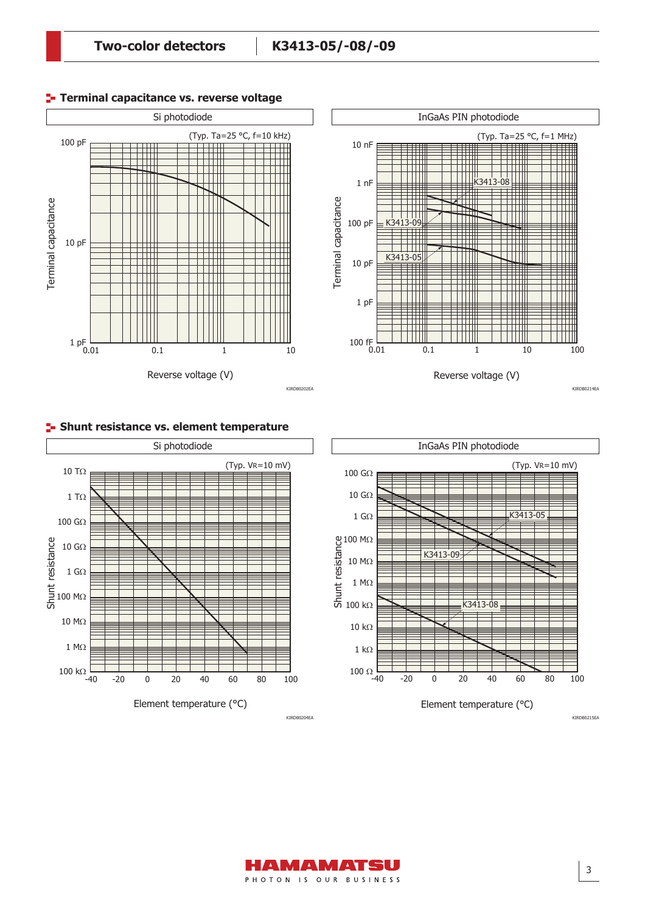**Terminal capacitance vs. reverse voltage**



#### InGaAs PIN photodiode (Typ. Ta=25 °C, f=1 MHz) 10 nF K3413-08 W Ш 1 nF Terminal capacitance<br>100 pF<br>10 pF ╥ TH  $3 - 09$ ╈╈ ┯ UIII TITI K3413-05 10 pF ₩ ici ili W 1 pF ٢ü W 100 fF  $\frac{1}{0.01}$ 0.01 0.1 1 10 100 Reverse voltage (V)

KIRDB0214EA



**F** Shunt resistance vs. element temperature



Element temperature (°C)

M*E*NM*E*NTS PHOTON IS OUR BUSINESS

KIRDB0204EA

KIRDB0215EA